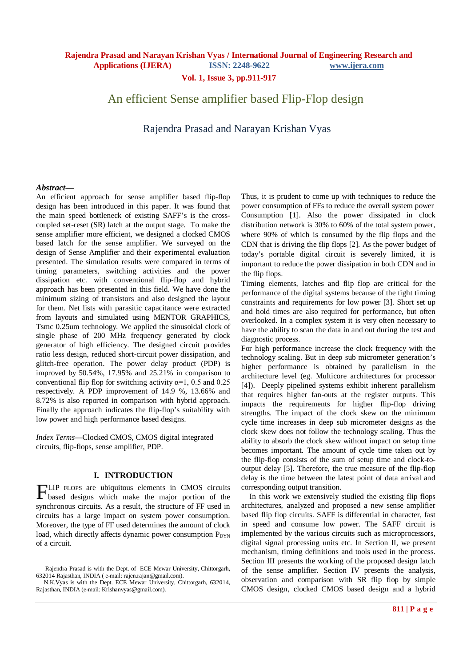**Vol. 1, Issue 3, pp.911-917**

# An efficient Sense amplifier based Flip-Flop design

Rajendra Prasad and Narayan Krishan Vyas

### *Abstract***—**

An efficient approach for sense amplifier based flip-flop design has been introduced in this paper. It was found that the main speed bottleneck of existing SAFF's is the crosscoupled set-reset (SR) latch at the output stage. To make the sense amplifier more efficient, we designed a clocked CMOS based latch for the sense amplifier. We surveyed on the design of Sense Amplifier and their experimental evaluation presented. The simulation results were compared in terms of timing parameters, switching activities and the power dissipation etc. with conventional flip-flop and hybrid approach has been presented in this field. We have done the minimum sizing of transistors and also designed the layout for them. Net lists with parasitic capacitance were extracted from layouts and simulated using MENTOR GRAPHICS, Tsmc 0.25um technology. We applied the sinusoidal clock of single phase of 200 MHz frequency generated by clock generator of high efficiency. The designed circuit provides ratio less design, reduced short-circuit power dissipation, and glitch-free operation. The power delay product (PDP) is improved by 50.54%, 17.95% and 25.21% in comparison to conventional flip flop for switching activity  $\alpha=1$ , 0.5 and 0.25 respectively. A PDP improvement of 14.9 %, 13.66% and 8.72% is also reported in comparison with hybrid approach. Finally the approach indicates the flip-flop's suitability with low power and high performance based designs.

*Index Terms*—Clocked CMOS, CMOS digital integrated circuits, flip-flops, sense amplifier, PDP.

### **I. INTRODUCTION**

LIP FLOPS are ubiquitous elements in CMOS circuits FLIP FLOPS are ubiquitous elements in CMOS circuits<br>based designs which make the major portion of the synchronous circuits. As a result, the structure of FF used in circuits has a large impact on system power consumption. Moreover, the type of FF used determines the amount of clock load, which directly affects dynamic power consumption P<sub>DYN</sub> of a circuit.

Thus, it is prudent to come up with techniques to reduce the power consumption of FFs to reduce the overall system power Consumption [1]. Also the power dissipated in clock distribution network is 30% to 60% of the total system power, where 90% of which is consumed by the flip flops and the CDN that is driving the flip flops [2]. As the power budget of today's portable digital circuit is severely limited, it is important to reduce the power dissipation in both CDN and in the flip flops.

Timing elements, latches and flip flop are critical for the performance of the digital systems because of the tight timing constraints and requirements for low power [3]. Short set up and hold times are also required for performance, but often overlooked. In a complex system it is very often necessary to have the ability to scan the data in and out during the test and diagnostic process.

For high performance increase the clock frequency with the technology scaling. But in deep sub micrometer generation's higher performance is obtained by parallelism in the architecture level (eg. Multicore architectures for processor [4]). Deeply pipelined systems exhibit inherent parallelism that requires higher fan-outs at the register outputs. This impacts the requirements for higher flip-flop driving strengths. The impact of the clock skew on the minimum cycle time increases in deep sub micrometer designs as the clock skew does not follow the technology scaling. Thus the ability to absorb the clock skew without impact on setup time becomes important. The amount of cycle time taken out by the flip-flop consists of the sum of setup time and clock-tooutput delay [5]. Therefore, the true measure of the flip-flop delay is the time between the latest point of data arrival and corresponding output transition.

 In this work we extensively studied the existing flip flops architectures, analyzed and proposed a new sense amplifier based flip flop circuits. SAFF is differential in character, fast in speed and consume low power. The SAFF circuit is implemented by the various circuits such as microprocessors, digital signal processing units etc. In Section II, we present mechanism, timing definitions and tools used in the process. Section III presents the working of the proposed design latch of the sense amplifier. Section IV presents the analysis, observation and comparison with SR flip flop by simple CMOS design, clocked CMOS based design and a hybrid

Rajendra Prasad is with the Dept. of ECE Mewar University, Chittorgarh, 632014 Rajasthan, INDIA ( e-mail: rajen.rajan@gmail.com).

N.K.Vyas is with the Dept. ECE Mewar University, Chittorgarh, 632014, Rajasthan, INDIA (e-mail: Krishanvyas@gmail.com).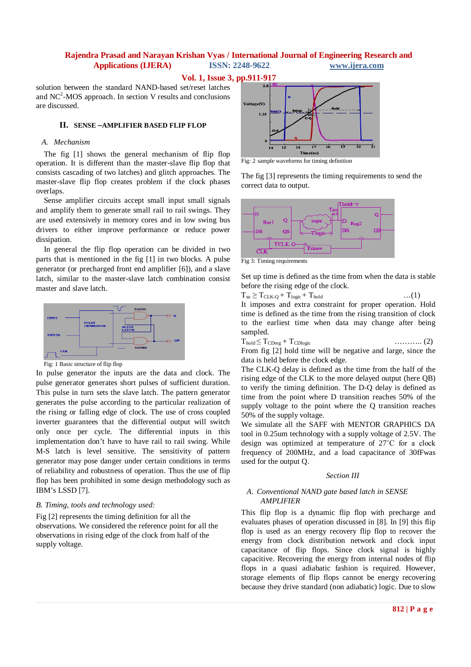**Vol. 1, Issue 3, pp.911-917**

solution between the standard NAND-based set/reset latches and  $NC<sup>2</sup>$ -MOS approach. In section V results and conclusions are discussed.

### **II. SENSE –AMPLIFIER BASED FLIP FLOP**

### *A. Mechanism*

The fig [1] shows the general mechanism of flip flop operation. It is different than the master-slave flip flop that consists cascading of two latches) and glitch approaches. The master-slave flip flop creates problem if the clock phases overlaps.

Sense amplifier circuits accept small input small signals and amplify them to generate small rail to rail swings. They are used extensively in memory cores and in low swing bus drivers to either improve performance or reduce power dissipation.

In general the flip flop operation can be divided in two parts that is mentioned in the fig [1] in two blocks. A pulse generator (or precharged front end amplifier [6]), and a slave latch, similar to the master-slave latch combination consist master and slave latch.



Fig: 1 Basic structure of flip flop

In pulse generator the inputs are the data and clock. The pulse generator generates short pulses of sufficient duration. This pulse in turn sets the slave latch. The pattern generator generates the pulse according to the particular realization of the rising or falling edge of clock. The use of cross coupled inverter guarantees that the differential output will switch only once per cycle. The differential inputs in this implementation don't have to have rail to rail swing. While M-S latch is level sensitive. The sensitivity of pattern generator may pose danger under certain conditions in terms of reliability and robustness of operation. Thus the use of flip flop has been prohibited in some design methodology such as IBM's LSSD [7].

### *B. Timing, tools and technology used:*

Fig [2] represents the timing definition for all the observations. We considered the reference point for all the observations in rising edge of the clock from half of the supply voltage.



Fig: 2 sample waveforms for timing definition

The fig [3] represents the timing requirements to send the correct data to output.



Fig 3: Timing requirements

Set up time is defined as the time from when the data is stable before the rising edge of the clock.

$$
T_{su} \geq T_{CLK\text{-}Q} + T_{logic} + T_{hold} \qquad ...(1)
$$

It imposes and extra constraint for proper operation. Hold time is defined as the time from the rising transition of clock to the earliest time when data may change after being sampled.

$$
T_{\text{hold}} \leq T_{\text{C>Dreg}} + T_{\text{CDlogic}} \tag{2}
$$

From fig [2] hold time will be negative and large, since the data is held before the clock edge.

The CLK-Q delay is defined as the time from the half of the rising edge of the CLK to the more delayed output (here QB) to verify the timing definition. The D-Q delay is defined as time from the point where D transition reaches 50% of the supply voltage to the point where the Q transition reaches 50% of the supply voltage.

We simulate all the SAFF with MENTOR GRAPHICS DA tool in 0.25um technology with a supply voltage of 2.5V. The design was optimized at temperature of 27˚C for a clock frequency of 200MHz, and a load capacitance of 30fFwas used for the output Q.

#### *Section III*

### *A. Conventional NAND gate based latch in SENSE AMPLIFIER*

This flip flop is a dynamic flip flop with precharge and evaluates phases of operation discussed in [8]. In [9] this flip flop is used as an energy recovery flip flop to recover the energy from clock distribution network and clock input capacitance of flip flops. Since clock signal is highly capacitive. Recovering the energy from internal nodes of flip flops in a quasi adiabatic fashion is required. However, storage elements of flip flops cannot be energy recovering because they drive standard (non adiabatic) logic. Due to slow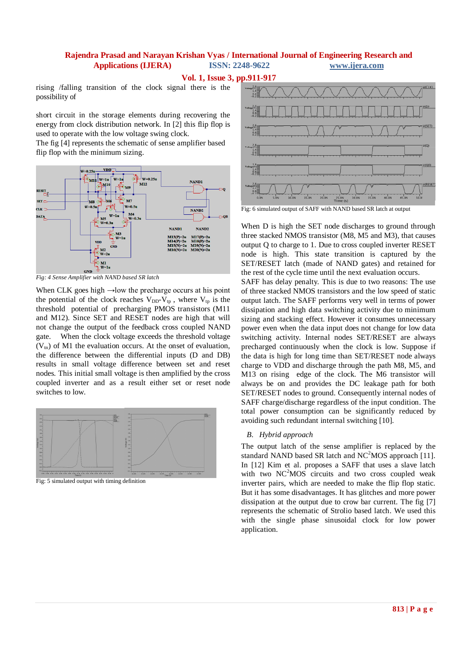**Vol. 1, Issue 3, pp.911-917**

rising /falling transition of the clock signal there is the possibility of

short circuit in the storage elements during recovering the energy from clock distribution network. In [2] this flip flop is used to operate with the low voltage swing clock.

The fig [4] represents the schematic of sense amplifier based flip flop with the minimum sizing.



*Fig: 4 Sense Amplifier with NAND based SR latch* 

When CLK goes high  $\rightarrow$ low the precharge occurs at his point the potential of the clock reaches  $V_{DD}-V_{tp}$ , where  $V_{tp}$  is the threshold potential of precharging PMOS transistors (M11 and M12). Since SET and RESET nodes are high that will not change the output of the feedback cross coupled NAND gate. When the clock voltage exceeds the threshold voltage  $(V_{tn})$  of M1 the evaluation occurs. At the onset of evaluation, the difference between the differential inputs (D and DB) results in small voltage difference between set and reset nodes. This initial small voltage is then amplified by the cross coupled inverter and as a result either set or reset node switches to low.



Fig: 5 simulated output with timing definition



Fig: 6 simulated output of SAFF with NAND based SR latch at output

When D is high the SET node discharges to ground through three stacked NMOS transistor (M8, M5 and M3), that causes output Q to charge to 1. Due to cross coupled inverter RESET node is high. This state transition is captured by the SET/RESET latch (made of NAND gates) and retained for the rest of the cycle time until the next evaluation occurs.

SAFF has delay penalty. This is due to two reasons: The use of three stacked NMOS transistors and the low speed of static output latch. The SAFF performs very well in terms of power dissipation and high data switching activity due to minimum sizing and stacking effect. However it consumes unnecessary power even when the data input does not change for low data switching activity. Internal nodes SET/RESET are always precharged continuously when the clock is low. Suppose if the data is high for long time than SET/RESET node always charge to VDD and discharge through the path M8, M5, and M13 on rising edge of the clock. The M6 transistor will always be on and provides the DC leakage path for both SET/RESET nodes to ground. Consequently internal nodes of SAFF charge/discharge regardless of the input condition. The total power consumption can be significantly reduced by avoiding such redundant internal switching [10].

### *B. Hybrid approach*

The output latch of the sense amplifier is replaced by the standard NAND based SR latch and  $NC<sup>2</sup>MOS$  approach [11]. In [12] Kim et al. proposes a SAFF that uses a slave latch with two  $NC<sup>2</sup>MOS$  circuits and two cross coupled weak inverter pairs, which are needed to make the flip flop static. But it has some disadvantages. It has glitches and more power dissipation at the output due to crow bar current. The fig [7] represents the schematic of Strolio based latch. We used this with the single phase sinusoidal clock for low power application.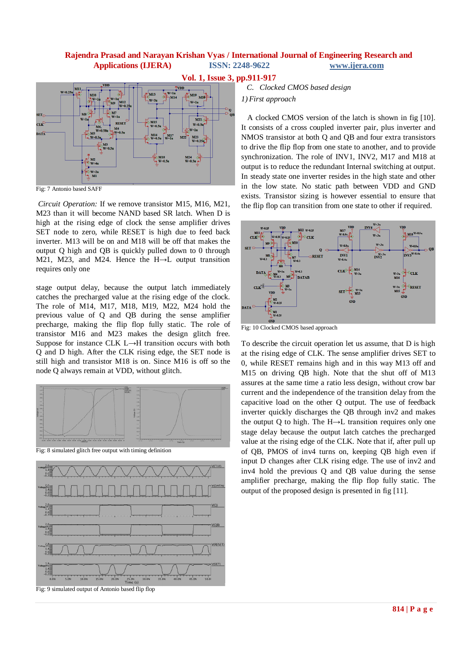

Fig: 7 Antonio based SAFF

*Circuit Operation:* If we remove transistor M15, M16, M21, M23 than it will become NAND based SR latch. When D is high at the rising edge of clock the sense amplifier drives SET node to zero, while RESET is high due to feed back inverter. M13 will be on and M18 will be off that makes the output Q high and QB is quickly pulled down to 0 through M21, M23, and M24. Hence the H→L output transition requires only one

stage output delay, because the output latch immediately catches the precharged value at the rising edge of the clock. The role of M14, M17, M18, M19, M22, M24 hold the previous value of Q and QB during the sense amplifier precharge, making the flip flop fully static. The role of transistor M16 and M23 makes the design glitch free. Suppose for instance CLK L→H transition occurs with both Q and D high. After the CLK rising edge, the SET node is still high and transistor M18 is on. Since M16 is off so the node Q always remain at VDD, without glitch.



Fig: 8 simulated glitch free output with timing definition





*C. Clocked CMOS based design 1) First approach*

 A clocked CMOS version of the latch is shown in fig [10]. It consists of a cross coupled inverter pair, plus inverter and NMOS transistor at both Q and QB and four extra transistors to drive the flip flop from one state to another, and to provide synchronization. The role of INV1, INV2, M17 and M18 at output is to reduce the redundant Internal switching at output. In steady state one inverter resides in the high state and other in the low state. No static path between VDD and GND exists. Transistor sizing is however essential to ensure that the flip flop can transition from one state to other if required.



Fig: 10 Clocked CMOS based approach

To describe the circuit operation let us assume, that D is high at the rising edge of CLK. The sense amplifier drives SET to 0, while RESET remains high and in this way M13 off and M15 on driving QB high. Note that the shut off of M13 assures at the same time a ratio less design, without crow bar current and the independence of the transition delay from the capacitive load on the other Q output. The use of feedback inverter quickly discharges the QB through inv2 and makes the output Q to high. The H→L transition requires only one stage delay because the output latch catches the precharged value at the rising edge of the CLK. Note that if, after pull up of QB, PMOS of inv4 turns on, keeping QB high even if input D changes after CLK rising edge. The use of inv2 and inv4 hold the previous Q and QB value during the sense amplifier precharge, making the flip flop fully static. The output of the proposed design is presented in fig [11].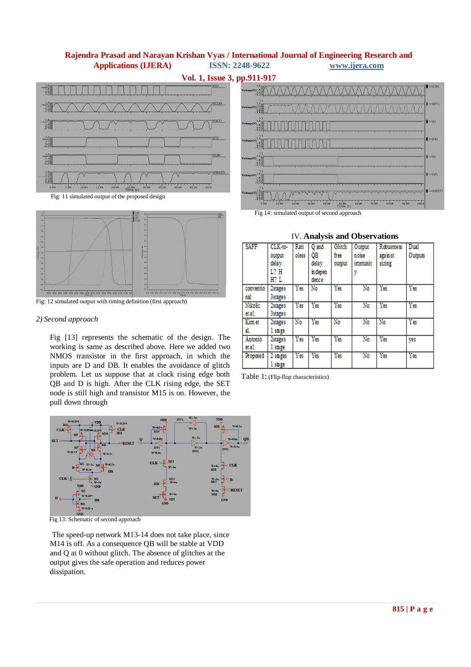



Fig: 12 simulated output with timing definition (first approach)

### *2) Second approach*

Fig [13] represents the schematic of the design. The working is same as described above. Here we added two NMOS transistor in the first approach, in which the inputs are D and DB. It enables the avoidance of glitch problem. Let us suppose that at clock rising edge both QB and D is high. After the CLK rising edge, the SET node is still high and transistor M15 is on. However, the pull down through



Fig 13: Schematic of second approach

The speed-up network M13-14 does not take place, since M14 is off. As a consequence QB will be stable at VDD and Q at 0 without glitch. The absence of glitches at the output gives the safe operation and reduces power dissipation.



Fig 14: simulated output of second approach

| SAFF              | CLK-to-<br>output<br>delay<br>L? H<br>H? L | Rati<br>oless | Q and<br>OВ<br>delay<br>in depen<br>dence | Glitch<br>free<br>output | Output<br>noise<br>immunit | Robustness<br>against<br>sizing | Dual<br>Outputs |
|-------------------|--------------------------------------------|---------------|-------------------------------------------|--------------------------|----------------------------|---------------------------------|-----------------|
| conventio<br>nal  | 2stages<br><b>3stages</b>                  | Yes           | No                                        | Yes                      | No                         | Yes                             | Yes             |
| Nikolic<br>et a1. | 2stages<br><b>3stages</b>                  | Yes           | Yes                                       | Yes                      | No                         | Yes                             | Yes             |
| Kim et<br>al.     | 2stages<br>1 stage                         | No            | Yes                                       | No                       | No                         | No                              | Yes             |
| Antonio<br>et a1. | 2stages<br>1 stage                         | Yes           | Yes                                       | Yes                      | No                         | Yes                             | ves             |
| Proposed          | 2 stages<br>1 stage                        | Yes           | Yes                                       | Yes                      | No                         | Yes                             | Yes             |

### IV. **Analysis and Observations**

Table 1: (Flip-flop characteristics)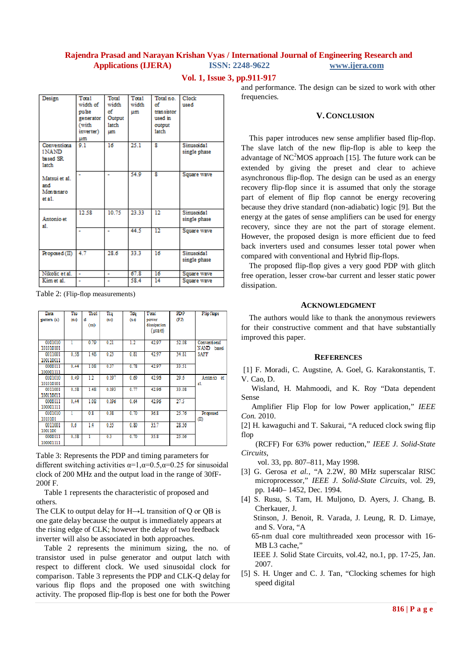#### **Vol. 1, Issue 3, pp.911-917**

| Design                                      | <b>Tota1</b><br>width of<br>pulse<br>generator<br>(with<br>inverter)<br>um | Total<br>width<br>οf<br>Output<br><b>latch</b><br><b>um</b> | Tota1<br>width<br>um | Total no.<br>of<br>tran sistor<br>used in<br>output<br><b>latch</b> | Clock<br>used              |
|---------------------------------------------|----------------------------------------------------------------------------|-------------------------------------------------------------|----------------------|---------------------------------------------------------------------|----------------------------|
| Conventiona<br>1 NAND<br>based SR<br>1atch  | 9.1                                                                        | 16                                                          | 25.1                 | R                                                                   | Sinusoida1<br>single phase |
| Matsui et al.<br>and<br>Montanaro<br>et a1. |                                                                            |                                                             | 54.9                 | R                                                                   | Square wave                |
| Antonio et<br>s1.                           | 12.58                                                                      | 10.75                                                       | 23.33                | 12                                                                  | Sinusoida1<br>single phase |
|                                             |                                                                            |                                                             | 44.5                 | 12                                                                  | Square wave                |
| Proposed (II)                               | 4.7                                                                        | 28.6                                                        | 33.3                 | 16                                                                  | Sinusoida1<br>single phase |
| Nikolic et al.                              | $\overline{a}$                                                             | ۰                                                           | 67.8                 | 16                                                                  | Square wave                |
| Kim et al.                                  |                                                                            |                                                             | 58.4                 | 14                                                                  | Square wave                |

Table 2: (Flip-flop measurements)

| Data                 | Tsu               | Tho1      | Tca               | Tda   | Tota1                            | PD P  | Flip flops                     |
|----------------------|-------------------|-----------|-------------------|-------|----------------------------------|-------|--------------------------------|
| pattern $(\alpha)$   | (n <sub>3</sub> ) | d<br>(ns) | (n <sub>s</sub> ) | (n s) | power<br>dissipation<br>(uwa tt) | (FJ)  |                                |
| 0101010<br>101010101 | 1                 | 0.79      | 0.21              | 1.2   | 42.07                            | 52.08 | Conventional<br>NAND<br>based. |
| 0011001<br>100110011 | 0.58              | 1.48      | 0.23              | 0.81  | 42.97                            | 34.81 | <b>SAFF</b>                    |
| 0000111<br>100001111 | 0.44              | 1.08      | 0.37              | 0.78  | 42.97                            | 33.51 |                                |
| 0101010<br>101010101 | 0.40              | 12        | 0.197             | 0.69  | 42.96                            | 29.6  | Antonio et<br>a1.              |
| 0011001<br>100110011 | 0.58              | 1.48      | 0.193             | 0.77  | 42.96                            | 33.08 |                                |
| 0000111<br>100001111 | 0.44              | 1.08      | 0.196             | 0.64  | 42.96                            | 27.5  |                                |
| 0101010<br>1010101   |                   | 0.8       | 0.38              | 0.70  | 36.8                             | 25.76 | Proposed<br>(II)               |
| 0011001<br>1001100   | 0.6               | 1.4       | 0.35              | 0.80  | 35.7                             | 28.56 |                                |
| 0000111<br>100001111 | 0.58              | ī         | 0.3               | 0.70  | 35.8                             | 25.06 |                                |

Table 3: Represents the PDP and timing parameters for different switching activities  $\alpha=1, \alpha=0.5, \alpha=0.25$  for sinusoidal clock of 200 MHz and the output load in the range of 30fF-200f F.

 Table 1 represents the characteristic of proposed and others.

The CLK to output delay for  $H \rightarrow L$  transition of O or OB is one gate delay because the output is immediately appears at the rising edge of CLK; however the delay of two feedback inverter will also be associated in both approaches.

 Table 2 represents the minimum sizing, the no. of transistor used in pulse generator and output latch with respect to different clock. We used sinusoidal clock for comparison. Table 3 represents the PDP and CLK-Q delay for various flip flops and the proposed one with switching activity. The proposed flip-flop is best one for both the Power

and performance. The design can be sized to work with other frequencies.

### **V.CONCLUSION**

This paper introduces new sense amplifier based flip-flop. The slave latch of the new flip-flop is able to keep the advantage of  $NC<sup>2</sup>MOS$  approach [15]. The future work can be extended by giving the preset and clear to achieve asynchronous flip-flop. The design can be used as an energy recovery flip-flop since it is assumed that only the storage part of element of flip flop cannot be energy recovering because they drive standard (non-adiabatic) logic [9]. But the energy at the gates of sense amplifiers can be used for energy recovery, since they are not the part of storage element. However, the proposed design is more efficient due to feed back inverters used and consumes lesser total power when compared with conventional and Hybrid flip-flops.

The proposed flip-flop gives a very good PDP with glitch free operation, lesser crow-bar current and lesser static power dissipation.

#### **ACKNOWLEDGMENT**

The authors would like to thank the anonymous reviewers for their constructive comment and that have substantially improved this paper.

#### **REFERENCES**

[1] F. Moradi, C. Augstine, A. Goel, G. Karakonstantis, T. V. Cao, D.

 Wisland, H. Mahmoodi, and K. Roy "Data dependent Sense

 Amplifier Flip Flop for low Power application," *IEEE Con.* 2010.

[2] H. kawaguchi and T. Sakurai, "A reduced clock swing flip flop

 (RCFF) For 63% power reduction," *IEEE J. Solid-State Circuits*,

vol. 33, pp. 807–811, May 1998.

[3] G. Gerosa *et al.*, "A 2.2W, 80 MHz superscalar RISC microprocessor," *IEEE J. Solid-State Circuits*, vol. 29, pp. 1440– 1452, Dec. 1994.

[4] S. Rusu, S. Tam, H. Muljono, D. Ayers, J. Chang, B. Cherkauer, J.

 Stinson, J. Benoit, R. Varada, J. Leung, R. D. Limaye, and S. Vora, "A

 65-nm dual core multithreaded xeon processor with 16- MB L3 cache,"

 IEEE J. Solid State Circuits, vol.42, no.1, pp. 17-25, Jan. 2007.

[5] S. H. Unger and C. J. Tan, "Clocking schemes for high speed digital